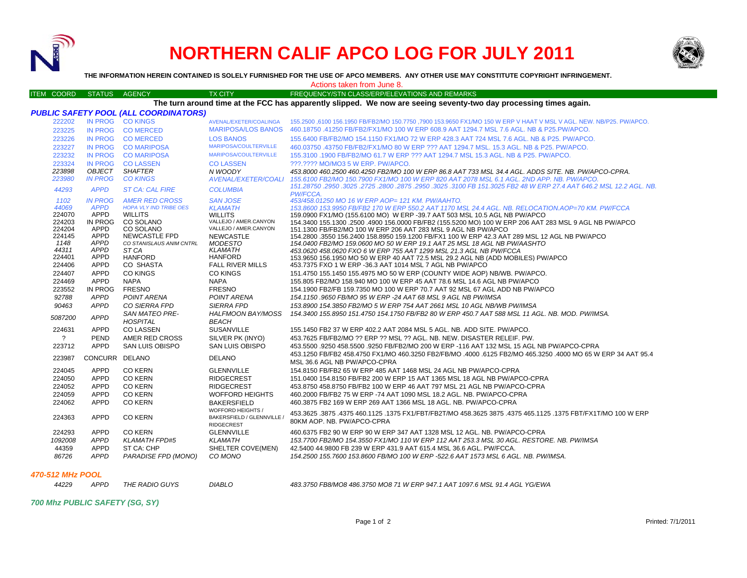

## **NORTHERN CALIF APCO LOG FOR JULY 2011**



**THE INFORMATION HEREIN CONTAINED IS SOLELY FURNISHED FOR THE USE OF APCO MEMBERS. ANY OTHER USE MAY CONSTITUTE COPYRIGHT INFRINGEMENT.**

## Actions taken from June 8.

| <b>ITEM COORD</b>                                                                                                 | <b>STATUS</b>                   | <b>AGENCY</b>                                | <b>TX CITY</b>                        | FREQUENCY/STN CLASS/ERP/ELEVATIONS AND REMARKS                                                                                                                                                   |  |  |  |  |  |  |
|-------------------------------------------------------------------------------------------------------------------|---------------------------------|----------------------------------------------|---------------------------------------|--------------------------------------------------------------------------------------------------------------------------------------------------------------------------------------------------|--|--|--|--|--|--|
| The turn around time at the FCC has apparently slipped. We now are seeing seventy-two day processing times again. |                                 |                                              |                                       |                                                                                                                                                                                                  |  |  |  |  |  |  |
|                                                                                                                   |                                 | <b>PUBLIC SAFETY POOL (ALL COORDINATORS)</b> |                                       |                                                                                                                                                                                                  |  |  |  |  |  |  |
| 222202                                                                                                            |                                 | IN PROG CO KINGS                             | AVENAL/EXETER/COALINGA                | 155.2500 ,6100 156.1950 FB/FB2/MO 150.7750 ,7900 153.9650 FX1/MO 150 W ERP V HAAT V MSL V AGL. NEW. NB/P25. PW/APCO.                                                                             |  |  |  |  |  |  |
| 223225                                                                                                            |                                 | IN PROG COMERCED                             | <b>MARIPOSA/LOS BANOS</b>             | 460.18750 .41250 FB/FB2/FX1/MO 100 W ERP 608.9 AAT 1294.7 MSL 7.6 AGL. NB & P25.PW/APCO.                                                                                                         |  |  |  |  |  |  |
| 223226                                                                                                            | <b>IN PROG</b>                  | <b>CO MERCED</b>                             | <b>LOS BANOS</b>                      | 155.6400 FB/FB2/MO 154.1150 FX1/MO 72 W ERP 428.3 AAT 724 MSL 7.6 AGL. NB & P25. PW/APCO.                                                                                                        |  |  |  |  |  |  |
| 223227                                                                                                            | <b>IN PROG</b>                  | <b>CO MARIPOSA</b>                           | MARIPOSA/COULTERVILLE                 |                                                                                                                                                                                                  |  |  |  |  |  |  |
| 223232                                                                                                            | <b>IN PROG</b>                  | <b>CO MARIPOSA</b>                           | <b>MARIPOSA/COULTERVILLE</b>          | 460.03750 .43750 FB/FB2/FX1/MO 80 W ERP ??? AAT 1294.7 MSL. 15.3 AGL. NB & P25. PW/APCO.                                                                                                         |  |  |  |  |  |  |
|                                                                                                                   |                                 |                                              |                                       | 155,3100 .1900 FB/FB2/MO 61.7 W ERP ??? AAT 1294.7 MSL 15.3 AGL. NB & P25. PW/APCO.                                                                                                              |  |  |  |  |  |  |
| 223324<br>223898                                                                                                  | <b>IN PROG</b><br><b>OBJECT</b> | <b>CO LASSEN</b><br><b>SHAFTER</b>           | <b>CO LASSEN</b>                      | ???.???? MO/MO3 5 W ERP. PW/APCO.                                                                                                                                                                |  |  |  |  |  |  |
| 223980                                                                                                            | <b>IN PROG</b>                  | <b>CO KINGS</b>                              | N WOODY<br><b>AVENAL/EXETER/COALI</b> | 453.8000 460.2500 460.4250 FB2/MO 100 W ERP 86.8 AAT 733 MSL 34.4 AGL, ADDS SITE, NB, PW/APCO-CPRA,<br>155.6100 FB2/MO 150.7900 FX1/MO 100 W ERP 820 AAT 2078 MSL 6.1 AGL, 2ND APP, NB, PW/APCO, |  |  |  |  |  |  |
|                                                                                                                   |                                 |                                              |                                       | 151.28750 .2950 .3025 .2725 .2800 .2875 .2950 .3025 .3100 FB 151.3025 FB2 48 W ERP 27.4 AAT 646.2 MSL 12.2 AGL. NB.                                                                              |  |  |  |  |  |  |
| 44293                                                                                                             | <b>APPD</b>                     | <b>ST CA: CAL FIRE</b>                       | <b>COLUMBIA</b>                       | PW/FCCA.                                                                                                                                                                                         |  |  |  |  |  |  |
| 1102                                                                                                              | <b>IN PROG</b>                  | <b>AMER RED CROSS</b>                        | <b>SAN JOSE</b>                       | 453/458.01250 MO 16 W ERP AOP= 121 KM, PW/AAHTO.                                                                                                                                                 |  |  |  |  |  |  |
| 44069                                                                                                             | <b>APPD</b>                     | <b>HOPA VLY IND TRIBE OES</b>                | <b>KLAMATH</b>                        | 153.8600 153.9950 FB/FB2 170 W ERP 550.2 AAT 1170 MSL 24.4 AGL, NB, RELOCATION, AOP=70 KM, PW/FCCA                                                                                               |  |  |  |  |  |  |
| 224070                                                                                                            | APPD                            | <b>WILLITS</b>                               | <b>WILLITS</b>                        | 159.0900 FX1/MO (155.6100 MO) W ERP -39.7 AAT 503 MSL 10.5 AGL NB PW/APCO                                                                                                                        |  |  |  |  |  |  |
| 224203                                                                                                            | <b>IN PROG</b>                  | CO SOLANO                                    | VALLEJO / AMER.CANYON                 | 154.3400 155.1300 .2500 .4900 156.0000 FB/FB2 (155.5200 MO) 100 W ERP 206 AAT 283 MSL 9 AGL NB PW/APCO                                                                                           |  |  |  |  |  |  |
| 224204                                                                                                            | <b>APPD</b>                     | CO SOLANO                                    | VALLEJO / AMER.CANYON                 | 151.1300 FB/FB2/MO 100 W ERP 206 AAT 283 MSL 9 AGL NB PW/APCO                                                                                                                                    |  |  |  |  |  |  |
| 224145<br>1148                                                                                                    | <b>APPD</b><br><b>APPD</b>      | NEWCASTLE FPD<br>CO STANISLAUS ANIM CNTRL    | <b>NEWCASTLE</b>                      | 154.2800 .3550 156.2400 158.8950 159.1200 FB/FX1 100 W ERP 42.3 AAT 289 MSL 12 AGL NB PW/APCO                                                                                                    |  |  |  |  |  |  |
| 44311                                                                                                             | <b>APPD</b>                     | ST CA                                        | <b>MODESTO</b><br><b>KLAMATH</b>      | 154.0400 FB2/MO 159.0600 MO 50 W ERP 19.1 AAT 25 MSL 18 AGL NB PW/AASHTO<br>453.0620 458.0620 FXO 6 W ERP 755 AAT 1299 MSL 21.3 AGL NB PW/FCCA                                                   |  |  |  |  |  |  |
| 224401                                                                                                            | <b>APPD</b>                     | <b>HANFORD</b>                               | <b>HANFORD</b>                        | 153.9650 156.1950 MO 50 W ERP 40 AAT 72.5 MSL 29.2 AGL NB (ADD MOBILES) PW/APCO                                                                                                                  |  |  |  |  |  |  |
| 224406                                                                                                            | <b>APPD</b>                     | CO SHASTA                                    | <b>FALL RIVER MILLS</b>               | 453.7375 FXO 1 W ERP -36.3 AAT 1014 MSL 7 AGL NB PW/APCO                                                                                                                                         |  |  |  |  |  |  |
| 224407                                                                                                            | <b>APPD</b>                     | <b>CO KINGS</b>                              | <b>CO KINGS</b>                       | 151.4750 155.1450 155.4975 MO 50 W ERP (COUNTY WIDE AOP) NB/WB. PW/APCO.                                                                                                                         |  |  |  |  |  |  |
| 224469                                                                                                            | <b>APPD</b>                     | <b>NAPA</b>                                  | <b>NAPA</b>                           | 155,805 FB2/MO 158,940 MO 100 W ERP 45 AAT 78.6 MSL 14.6 AGL NB PW/APCO                                                                                                                          |  |  |  |  |  |  |
| 223552                                                                                                            | <b>IN PROG</b>                  | <b>FRESNO</b>                                | <b>FRESNO</b>                         | 154.1900 FB2/FB 159.7350 MO 100 W ERP 70.7 AAT 92 MSL 67 AGL ADD NB PW/APCO                                                                                                                      |  |  |  |  |  |  |
| 92788                                                                                                             | <b>APPD</b>                     | POINT ARENA                                  | <b>POINT ARENA</b>                    | 154.1150 .9650 FB/MO 95 W ERP -24 AAT 68 MSL 9 AGL NB PW/IMSA                                                                                                                                    |  |  |  |  |  |  |
| 90463                                                                                                             | <b>APPD</b>                     | <b>CO SIERRA FPD</b>                         | <b>SIERRA FPD</b>                     | 153.8900 154.3850 FB2/MO 5 W ERP 754 AAT 2661 MSL 10 AGL NB/WB PW/IMSA                                                                                                                           |  |  |  |  |  |  |
|                                                                                                                   |                                 | <b>SAN MATEO PRE-</b>                        | HALFMOON BAY/MOSS                     | 154.3400 155.8950 151.4750 154.1750 FB/FB2 80 W ERP 450.7 AAT 588 MSL 11 AGL. NB. MOD. PW/IMSA.                                                                                                  |  |  |  |  |  |  |
| 5087200                                                                                                           | <b>APPD</b>                     | <b>HOSPITAL</b>                              | <b>BEACH</b>                          |                                                                                                                                                                                                  |  |  |  |  |  |  |
| 224631                                                                                                            | <b>APPD</b>                     | <b>CO LASSEN</b>                             | <b>SUSANVILLE</b>                     | 155,1450 FB2 37 W ERP 402.2 AAT 2084 MSL 5 AGL, NB, ADD SITE, PW/APCO,                                                                                                                           |  |  |  |  |  |  |
| $\overline{?}$                                                                                                    | PEND                            | AMER RED CROSS                               | SILVER PK (INYO)                      | 453.7625 FB/FB2/MO ?? ERP ?? MSL ?? AGL. NB. NEW. DISASTER RELEIF. PW.                                                                                                                           |  |  |  |  |  |  |
| 223712                                                                                                            | APPD                            | <b>SAN LUIS OBISPO</b>                       | <b>SAN LUIS OBISPO</b>                | 453.5500 .9250 458.5500 .9250 FB/FB2/MO 200 W ERP -116 AAT 132 MSL 15 AGL NB PW/APCO-CPRA                                                                                                        |  |  |  |  |  |  |
|                                                                                                                   |                                 |                                              |                                       | 453.1250 FB/FB2 458.4750 FX1/MO 460.3250 FB2/FB/MO .4000 .6125 FB2/MO 465.3250 .4000 MO 65 W ERP 34 AAT 95.4                                                                                     |  |  |  |  |  |  |
| 223987                                                                                                            | CONCURR DELANO                  |                                              | <b>DELANO</b>                         | MSL 36.6 AGL NB PW/APCO-CPRA                                                                                                                                                                     |  |  |  |  |  |  |
| 224045                                                                                                            | <b>APPD</b>                     | <b>CO KERN</b>                               | <b>GLENNVILLE</b>                     | 154.8150 FB/FB2 65 W ERP 485 AAT 1468 MSL 24 AGL NB PW/APCO-CPRA                                                                                                                                 |  |  |  |  |  |  |
| 224050                                                                                                            | APPD                            | <b>CO KERN</b>                               | <b>RIDGECREST</b>                     | 151.0400 154.8150 FB/FB2 200 W ERP 15 AAT 1365 MSL 18 AGL NB PW/APCO-CPRA                                                                                                                        |  |  |  |  |  |  |
| 224052                                                                                                            | <b>APPD</b>                     | <b>CO KERN</b>                               | <b>RIDGECREST</b>                     | 453.8750 458.8750 FB/FB2 100 W ERP 46 AAT 797 MSL 21 AGL NB PW/APCO-CPRA                                                                                                                         |  |  |  |  |  |  |
| 224059                                                                                                            | APPD                            | <b>CO KERN</b>                               | <b>WOFFORD HEIGHTS</b>                | 460.2000 FB/FB2 75 W ERP -74 AAT 1090 MSL 18.2 AGL, NB, PW/APCO-CPRA                                                                                                                             |  |  |  |  |  |  |
| 224062                                                                                                            | <b>APPD</b>                     | <b>CO KERN</b>                               | <b>BAKERSFIELD</b>                    | 460.3875 FB2 169 W ERP 269 AAT 1366 MSL 18 AGL. NB. PW/APCO-CPRA                                                                                                                                 |  |  |  |  |  |  |
|                                                                                                                   |                                 |                                              | <b>WOFFORD HEIGHTS /</b>              |                                                                                                                                                                                                  |  |  |  |  |  |  |
| 224363                                                                                                            | APPD                            | <b>CO KERN</b>                               | BAKERSFIELD / GLENNVILLE /            | 453.3625 .3875 .3875 .3875 .3875 .4375 465.1125 .3875 .4375 FX1/FBT/FB2T/MO 458.3625 3875 .4375 465.1125 .1375 FBT/FX1T/MO 100 W ERP                                                             |  |  |  |  |  |  |
|                                                                                                                   |                                 |                                              | <b>RIDGECREST</b>                     | 80KM AOP. NB. PW/APCO-CPRA                                                                                                                                                                       |  |  |  |  |  |  |
| 224293                                                                                                            | <b>APPD</b>                     | <b>CO KERN</b>                               | <b>GLENNVILLE</b>                     | 460.6375 FB2 90 W ERP 90 W ERP 347 AAT 1328 MSL 12 AGL. NB. PW/APCO-CPRA                                                                                                                         |  |  |  |  |  |  |
| 1092008                                                                                                           | <b>APPD</b>                     | <b>KLAMATH FPD#5</b>                         | <b>KLAMATH</b>                        | 153.7700 FB2/MO 154.3550 FX1/MO 110 W ERP 112 AAT 253.3 MSL 30 AGL. RESTORE. NB. PW/IMSA                                                                                                         |  |  |  |  |  |  |
| 44359                                                                                                             | <b>APPD</b>                     | ST CA: CHP                                   | SHELTER COVE(MEN)                     | 42.5400 44.9800 FB 239 W ERP 431.9 AAT 615.4 MSL 36.6 AGL. PW/FCCA.                                                                                                                              |  |  |  |  |  |  |
| 86726                                                                                                             | <b>APPD</b>                     | PARADISE FPD (MONO)                          | CO MONO                               | 154.2500 155.7600 153.8600 FB/MO 100 W ERP -522.6 AAT 1573 MSL 6 AGL. NB. PW/IMSA.                                                                                                               |  |  |  |  |  |  |
|                                                                                                                   |                                 |                                              |                                       |                                                                                                                                                                                                  |  |  |  |  |  |  |

## *470-512 MHz POOL*

*44229 APPD THE RADIO GUYS DIABLO 483.3750 FB8/MO8 486.3750 MO8 71 W ERP 947.1 AAT 1097.6 MSL 91.4 AGL YG/EWA*

*700 Mhz PUBLIC SAFETY (SG, SY)*